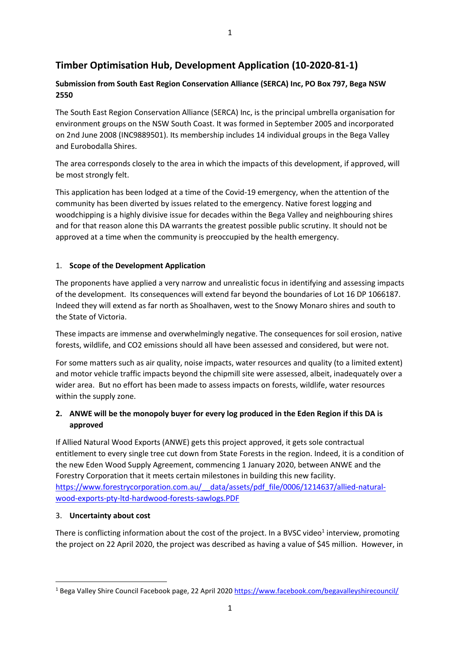# **Submission from South East Region Conservation Alliance (SERCA) Inc, PO Box 797, Bega NSW 2550**

The South East Region Conservation Alliance (SERCA) Inc, is the principal umbrella organisation for environment groups on the NSW South Coast. It was formed in September 2005 and incorporated on 2nd June 2008 (INC9889501). Its membership includes 14 individual groups in the Bega Valley and Eurobodalla Shires.

The area corresponds closely to the area in which the impacts of this development, if approved, will be most strongly felt.

This application has been lodged at a time of the Covid-19 emergency, when the attention of the community has been diverted by issues related to the emergency. Native forest logging and woodchipping is a highly divisive issue for decades within the Bega Valley and neighbouring shires and for that reason alone this DA warrants the greatest possible public scrutiny. It should not be approved at a time when the community is preoccupied by the health emergency.

## 1. **Scope of the Development Application**

The proponents have applied a very narrow and unrealistic focus in identifying and assessing impacts of the development. Its consequences will extend far beyond the boundaries of Lot 16 DP 1066187. Indeed they will extend as far north as Shoalhaven, west to the Snowy Monaro shires and south to the State of Victoria.

These impacts are immense and overwhelmingly negative. The consequences for soil erosion, native forests, wildlife, and CO2 emissions should all have been assessed and considered, but were not.

For some matters such as air quality, noise impacts, water resources and quality (to a limited extent) and motor vehicle traffic impacts beyond the chipmill site were assessed, albeit, inadequately over a wider area. But no effort has been made to assess impacts on forests, wildlife, water resources within the supply zone.

# **2. ANWE will be the monopoly buyer for every log produced in the Eden Region if this DA is approved**

If Allied Natural Wood Exports (ANWE) gets this project approved, it gets sole contractual entitlement to every single tree cut down from State Forests in the region. Indeed, it is a condition of the new Eden Wood Supply Agreement, commencing 1 January 2020, between ANWE and the Forestry Corporation that it meets certain milestones in building this new facility. [https://www.forestrycorporation.com.au/\\_\\_data/assets/pdf\\_file/0006/1214637/allied-natural](https://www.forestrycorporation.com.au/__data/assets/pdf_file/0006/1214637/allied-natural-wood-exports-pty-ltd-hardwood-forests-sawlogs.PDF)[wood-exports-pty-ltd-hardwood-forests-sawlogs.PDF](https://www.forestrycorporation.com.au/__data/assets/pdf_file/0006/1214637/allied-natural-wood-exports-pty-ltd-hardwood-forests-sawlogs.PDF)

### 3. **Uncertainty about cost**

There is conflicting information about the cost of the project. In a BVSC video<sup>1</sup> interview, promoting the project on 22 April 2020, the project was described as having a value of \$45 million. However, in

1

<sup>&</sup>lt;sup>1</sup> Bega Valley Shire Council Facebook page, 22 April 2020 <https://www.facebook.com/begavalleyshirecouncil/>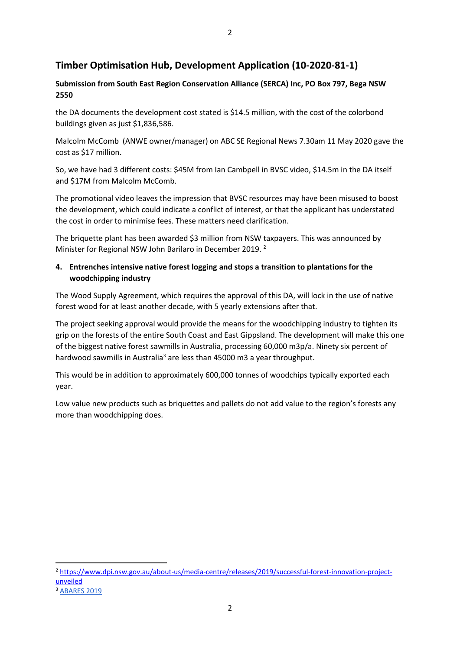## **Submission from South East Region Conservation Alliance (SERCA) Inc, PO Box 797, Bega NSW 2550**

the DA documents the development cost stated is \$14.5 million, with the cost of the colorbond buildings given as just \$1,836,586.

Malcolm McComb (ANWE owner/manager) on ABC SE Regional News 7.30am 11 May 2020 gave the cost as \$17 million.

So, we have had 3 different costs: \$45M from Ian Cambpell in BVSC video, \$14.5m in the DA itself and \$17M from Malcolm McComb.

The promotional video leaves the impression that BVSC resources may have been misused to boost the development, which could indicate a conflict of interest, or that the applicant has understated the cost in order to minimise fees. These matters need clarification.

The briquette plant has been awarded \$3 million from NSW taxpayers. This was announced by Minister for Regional NSW John Barilaro in December 2019. <sup>2</sup>

## **4. Entrenches intensive native forest logging and stops a transition to plantations for the woodchipping industry**

The Wood Supply Agreement, which requires the approval of this DA, will lock in the use of native forest wood for at least another decade, with 5 yearly extensions after that.

The project seeking approval would provide the means for the woodchipping industry to tighten its grip on the forests of the entire South Coast and East Gippsland. The development will make this one of the biggest native forest sawmills in Australia, processing 60,000 m3p/a. Ninety six percent of hardwood sawmills in Australia<sup>3</sup> are less than 45000 m3 a year throughput.

This would be in addition to approximately 600,000 tonnes of woodchips typically exported each year.

Low value new products such as briquettes and pallets do not add value to the region's forests any more than woodchipping does.

<sup>2</sup> [https://www.dpi.nsw.gov.au/about-us/media-centre/releases/2019/successful-forest-innovation-project](https://www.dpi.nsw.gov.au/about-us/media-centre/releases/2019/successful-forest-innovation-project-unveiled)[unveiled](https://www.dpi.nsw.gov.au/about-us/media-centre/releases/2019/successful-forest-innovation-project-unveiled) <sup>3</sup> [ABARES](https://www.agriculture.gov.au/abares/research-topics/forests/forest-economics/national-wood-processing-survey) [2019](https://www.agriculture.gov.au/abares/research-topics/forests/forest-economics/national-wood-processing-survey)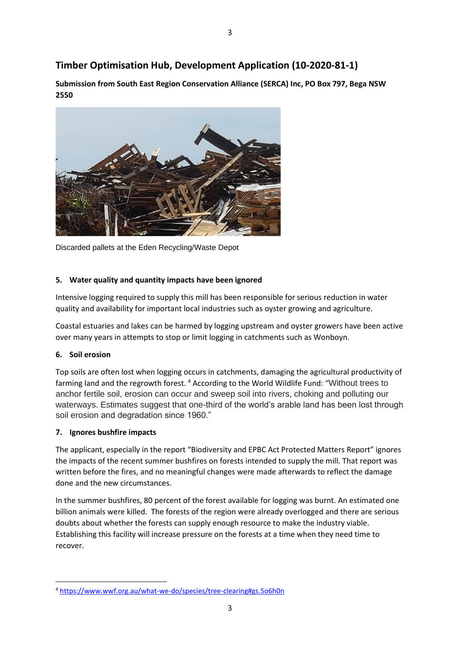**Submission from South East Region Conservation Alliance (SERCA) Inc, PO Box 797, Bega NSW 2550** 



Discarded pallets at the Eden Recycling/Waste Depot

#### **5. Water quality and quantity impacts have been ignored**

Intensive logging required to supply this mill has been responsible for serious reduction in water quality and availability for important local industries such as oyster growing and agriculture.

Coastal estuaries and lakes can be harmed by logging upstream and oyster growers have been active over many years in attempts to stop or limit logging in catchments such as Wonboyn.

#### **6. Soil erosion**

Top soils are often lost when logging occurs in catchments, damaging the agricultural productivity of farming land and the regrowth forest.<sup>4</sup> According to the World Wildlife Fund: "Without trees to anchor fertile soil, erosion can occur and sweep soil into rivers, choking and polluting our waterways. Estimates suggest that one-third of the world's arable land has been lost through soil erosion and degradation since 1960."

### **7. Ignores bushfire impacts**

The applicant, especially in the report "Biodiversity and EPBC Act Protected Matters Report" ignores the impacts of the recent summer bushfires on forests intended to supply the mill. That report was written before the fires, and no meaningful changes were made afterwards to reflect the damage done and the new circumstances.

In the summer bushfires, 80 percent of the forest available for logging was burnt. An estimated one billion animals were killed. The forests of the region were already overlogged and there are serious doubts about whether the forests can supply enough resource to make the industry viable. Establishing this facility will increase pressure on the forests at a time when they need time to recover.

<sup>4</sup> <https://www.wwf.org.au/what-we-do/species/tree-clearing#gs.5o6h0n>